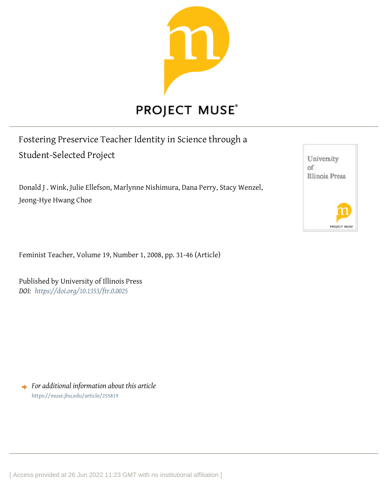

# Fostering Preservice Teacher Identity in Science through a Student-Selected Project

Donald J . Wink, Julie Ellefson, Marlynne Nishimura, Dana Perry, Stacy Wenzel, Jeong-Hye Hwang Choe

Feminist Teacher, Volume 19, Number 1, 2008, pp. 31-46 (Article)

Published by University of Illinois Press *DOI: <https://doi.org/10.1353/ftr.0.0025>*

*For additional information about this article* <https://muse.jhu.edu/article/255819>

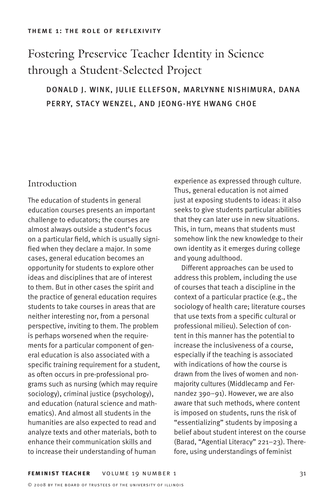# Fostering Preservice Teacher Identity in Science through a Student-Selected Project

Donald J. Wink, Julie Ellefson, Marlynne Nishimura, Dana Perry, Stacy Wenzel, and Jeong-hye Hwang Choe

#### Introduction

The education of students in general education courses presents an important challenge to educators; the courses are almost always outside a student's focus on a particular field, which is usually signified when they declare a major. In some cases, general education becomes an opportunity for students to explore other ideas and disciplines that are of interest to them. But in other cases the spirit and the practice of general education requires students to take courses in areas that are neither interesting nor, from a personal perspective, inviting to them. The problem is perhaps worsened when the requirements for a particular component of general education is also associated with a specific training requirement for a student, as often occurs in pre-professional programs such as nursing (which may require sociology), criminal justice (psychology), and education (natural science and mathematics). And almost all students in the humanities are also expected to read and analyze texts and other materials, both to enhance their communication skills and to increase their understanding of human

experience as expressed through culture. Thus, general education is not aimed just at exposing students to ideas: it also seeks to give students particular abilities that they can later use in new situations. This, in turn, means that students must somehow link the new knowledge to their own identity as it emerges during college and young adulthood.

Different approaches can be used to address this problem, including the use of courses that teach a discipline in the context of a particular practice (e.g., the sociology of health care; literature courses that use texts from a specific cultural or professional milieu). Selection of content in this manner has the potential to increase the inclusiveness of a course, especially if the teaching is associated with indications of how the course is drawn from the lives of women and nonmajority cultures (Middlecamp and Fernandez 390–91). However, we are also aware that such methods, where content is imposed on students, runs the risk of "essentializing" students by imposing a belief about student interest on the course (Barad, "Agential Literacy" 221–23). Therefore, using understandings of feminist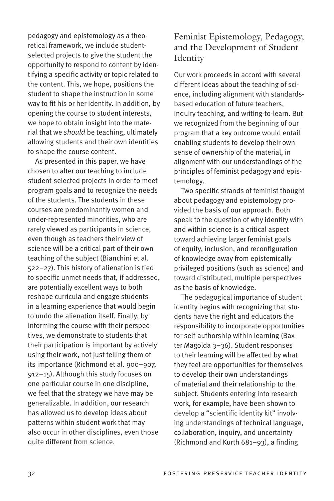pedagogy and epistemology as a theoretical framework, we include studentselected projects to give the student the opportunity to respond to content by identifying a specific activity or topic related to the content. This, we hope, positions the student to shape the instruction in some way to fit his or her identity. In addition, by opening the course to student interests, we hope to obtain insight into the material that we *should* be teaching, ultimately allowing students and their own identities to shape the course content.

As presented in this paper, we have chosen to alter our teaching to include student-selected projects in order to meet program goals and to recognize the needs of the students. The students in these courses are predominantly women and under-represented minorities, who are rarely viewed as participants in science, even though as teachers their view of science will be a critical part of their own teaching of the subject (Bianchini et al. 522–27). This history of alienation is tied to specific unmet needs that, if addressed, are potentially excellent ways to both reshape curricula and engage students in a learning experience that would begin to undo the alienation itself. Finally, by informing the course with their perspectives, we demonstrate to students that their participation is important by actively using their work, not just telling them of its importance (Richmond et al. 900–907, 912–15). Although this study focuses on one particular course in one discipline, we feel that the strategy we have may be generalizable. In addition, our research has allowed us to develop ideas about patterns within student work that may also occur in other disciplines, even those quite different from science.

Feminist Epistemology, Pedagogy, and the Development of Student **Identity** 

Our work proceeds in accord with several different ideas about the teaching of science, including alignment with standardsbased education of future teachers, inquiry teaching, and writing-to-learn. But we recognized from the beginning of our program that a key outcome would entail enabling students to develop their own sense of ownership of the material, in alignment with our understandings of the principles of feminist pedagogy and epistemology.

Two specific strands of feminist thought about pedagogy and epistemology provided the basis of our approach. Both speak to the question of why identity with and within science is a critical aspect toward achieving larger feminist goals of equity, inclusion, and reconfiguration of knowledge away from epistemically privileged positions (such as science) and toward distributed, multiple perspectives as the basis of knowledge.

The pedagogical importance of student identity begins with recognizing that students have the right and educators the responsibility to incorporate opportunities for self-authorship within learning (Baxter Magolda 3–36). Student responses to their learning will be affected by what they feel are opportunities for themselves to develop their own understandings of material and their relationship to the subject. Students entering into research work, for example, have been shown to develop a "scientific identity kit" involving understandings of technical language, collaboration, inquiry, and uncertainty (Richmond and Kurth 681–93), a finding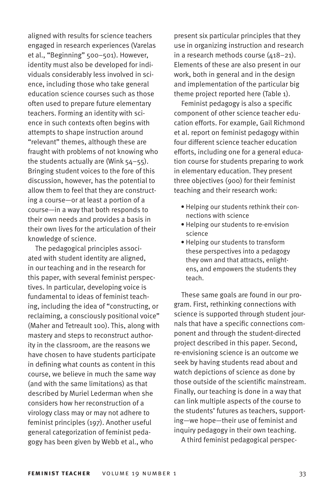aligned with results for science teachers engaged in research experiences (Varelas et al., "Beginning" 500–501). However, identity must also be developed for individuals considerably less involved in science, including those who take general education science courses such as those often used to prepare future elementary teachers. Forming an identity with science in such contexts often begins with attempts to shape instruction around "relevant" themes, although these are fraught with problems of not knowing who the students actually are (Wink 54–55). Bringing student voices to the fore of this discussion, however, has the potential to allow them to feel that they are constructing a course—or at least a portion of a course—in a way that both responds to their own needs and provides a basis in their own lives for the articulation of their knowledge of science.

The pedagogical principles associated with student identity are aligned, in our teaching and in the research for this paper, with several feminist perspectives. In particular, developing voice is fundamental to ideas of feminist teaching, including the idea of "constructing, or reclaiming, a consciously positional voice" (Maher and Tetreault 100). This, along with mastery and steps to reconstruct authority in the classroom, are the reasons we have chosen to have students participate in defining what counts as content in this course, we believe in much the same way (and with the same limitations) as that described by Muriel Lederman when she considers how her reconstruction of a virology class may or may not adhere to feminist principles (197). Another useful general categorization of feminist pedagogy has been given by Webb et al., who

present six particular principles that they use in organizing instruction and research in a research methods course (418–21). Elements of these are also present in our work, both in general and in the design and implementation of the particular big theme project reported here (Table 1).

Feminist pedagogy is also a specific component of other science teacher education efforts. For example, Gail Richmond et al. report on feminist pedagogy within four different science teacher education efforts, including one for a general education course for students preparing to work in elementary education. They present three objectives (900) for their feminist teaching and their research work:

- • Helping our students rethink their connections with science
- Helping our students to re-envision science
- Helping our students to transform these perspectives into a pedagogy they own and that attracts, enlightens, and empowers the students they teach.

These same goals are found in our program. First, rethinking connections with science is supported through student journals that have a specific connections component and through the student-directed project described in this paper. Second, re-envisioning science is an outcome we seek by having students read about and watch depictions of science as done by those outside of the scientific mainstream. Finally, our teaching is done in a way that can link multiple aspects of the course to the students' futures as teachers, supporting—we hope—their use of feminist and inquiry pedagogy in their own teaching.

A third feminist pedagogical perspec-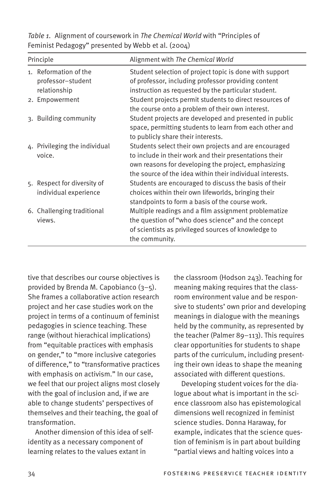| Principle |                                                            | Alignment with The Chemical World                                                                                                                                                                                                   |  |
|-----------|------------------------------------------------------------|-------------------------------------------------------------------------------------------------------------------------------------------------------------------------------------------------------------------------------------|--|
|           | 1. Reformation of the<br>professor-student<br>relationship | Student selection of project topic is done with support<br>of professor, including professor providing content<br>instruction as requested by the particular student.                                                               |  |
|           | 2. Empowerment                                             | Student projects permit students to direct resources of<br>the course onto a problem of their own interest.                                                                                                                         |  |
|           | 3. Building community                                      | Student projects are developed and presented in public<br>space, permitting students to learn from each other and<br>to publicly share their interests.                                                                             |  |
|           | 4. Privileging the individual<br>voice.                    | Students select their own projects and are encouraged<br>to include in their work and their presentations their<br>own reasons for developing the project, emphasizing<br>the source of the idea within their individual interests. |  |
|           | 5. Respect for diversity of<br>individual experience       | Students are encouraged to discuss the basis of their<br>choices within their own lifeworlds, bringing their<br>standpoints to form a basis of the course work.                                                                     |  |
|           | 6. Challenging traditional<br>views.                       | Multiple readings and a film assignment problematize<br>the question of "who does science" and the concept<br>of scientists as privileged sources of knowledge to<br>the community.                                                 |  |

*Table 1.* Alignment of coursework in *The Chemical World* with "Principles of Feminist Pedagogy" presented by Webb et al. (2004)

tive that describes our course objectives is provided by Brenda M. Capobianco (3–5). She frames a collaborative action research project and her case studies work on the project in terms of a continuum of feminist pedagogies in science teaching. These range (without hierachical implications) from "equitable practices with emphasis on gender," to "more inclusive categories of difference," to "transformative practices with emphasis on activism." In our case, we feel that our project aligns most closely with the goal of inclusion and, if we are able to change students' perspectives of themselves and their teaching, the goal of transformation.

Another dimension of this idea of selfidentity as a necessary component of learning relates to the values extant in

the classroom (Hodson 243). Teaching for meaning making requires that the classroom environment value and be responsive to students' own prior and developing meanings in dialogue with the meanings held by the community, as represented by the teacher (Palmer 89–113). This requires clear opportunities for students to shape parts of the curriculum, including presenting their own ideas to shape the meaning associated with different questions.

Developing student voices for the dialogue about what is important in the science classroom also has epistemological dimensions well recognized in feminist science studies. Donna Haraway, for example, indicates that the science question of feminism is in part about building "partial views and halting voices into a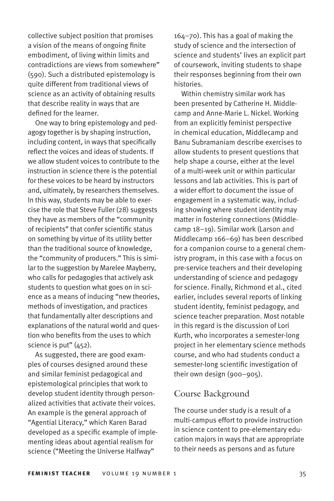collective subject position that promises a vision of the means of ongoing finite embodiment, of living within limits and contradictions are views from somewhere" (590). Such a distributed epistemology is quite different from traditional views of science as an activity of obtaining results that describe reality in ways that are defined for the learner.

One way to bring epistemology and pedagogy together is by shaping instruction, including content, in ways that specifically reflect the voices and ideas of students. If we allow student voices to contribute to the instruction in science there is the potential for these voices to be heard by instructors and, ultimately, by researchers themselves. In this way, students may be able to exercise the role that Steve Fuller (28) suggests they have as members of the "community of recipients" that confer scientific status on something by virtue of its utility better than the traditional source of knowledge, the "community of producers." This is similar to the suggestion by Marelee Mayberry, who calls for pedagogies that actively ask students to question what goes on in science as a means of inducing "new theories, methods of investigation, and practices that fundamentally alter descriptions and explanations of the natural world and question who benefits from the uses to which science is put" (452).

As suggested, there are good examples of courses designed around these and similar feminist pedagogical and epistemological principles that work to develop student identity through personalized activities that activate their voices. An example is the general approach of "Agential Literacy," which Karen Barad developed as a specific example of implementing ideas about agential realism for science ("Meeting the Universe Halfway"

164–70). This has a goal of making the study of science and the intersection of science and students' lives an explicit part of coursework, inviting students to shape their responses beginning from their own histories.

Within chemistry similar work has been presented by Catherine H. Middlecamp and Anne-Marie L. Nickel. Working from an explicitly feminist perspective in chemical education, Middlecamp and Banu Subramaniam describe exercises to allow students to present questions that help shape a course, either at the level of a multi-week unit or within particular lessons and lab activities. This is part of a wider effort to document the issue of engagement in a systematic way, including showing where student identity may matter in fostering connections (Middlecamp 18–19). Similar work (Larson and Middlecamp 166–69) has been described for a companion course to a general chemistry program, in this case with a focus on pre-service teachers and their developing understanding of science and pedagogy for science. Finally, Richmond et al., cited earlier, includes several reports of linking student identity, feminist pedagogy, and science teacher preparation. Most notable in this regard is the discussion of Lori Kurth, who incorporates a semester-long project in her elementary science methods course, and who had students conduct a semester-long scientific investigation of their own design (900–905).

#### Course Background

The course under study is a result of a multi-campus effort to provide instruction in science content to pre-elementary education majors in ways that are appropriate to their needs as persons and as future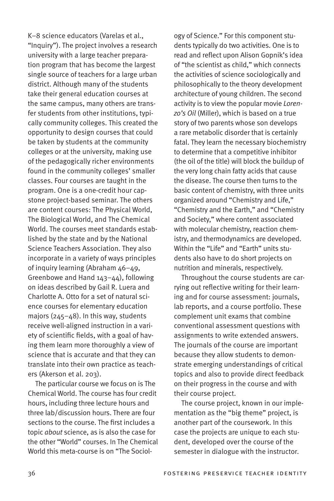K–8 science educators (Varelas et al., "Inquiry"). The project involves a research university with a large teacher preparation program that has become the largest single source of teachers for a large urban district. Although many of the students take their general education courses at the same campus, many others are transfer students from other institutions, typically community colleges. This created the opportunity to design courses that could be taken by students at the community colleges or at the university, making use of the pedagogically richer environments found in the community colleges' smaller classes. Four courses are taught in the program. One is a one-credit hour capstone project-based seminar. The others are content courses: The Physical World, The Biological World, and The Chemical World. The courses meet standards established by the state and by the National Science Teachers Association. They also incorporate in a variety of ways principles of inquiry learning (Abraham 46–49, Greenbowe and Hand 143–44), following on ideas described by Gail R. Luera and Charlotte A. Otto for a set of natural science courses for elementary education majors (245–48). In this way, students receive well-aligned instruction in a variety of scientific fields, with a goal of having them learn more thoroughly a view of science that is accurate and that they can translate into their own practice as teachers (Akerson et al. 203).

The particular course we focus on is The Chemical World. The course has four credit hours, including three lecture hours and three lab/discussion hours. There are four sections to the course. The first includes a topic *about* science, as is also the case for the other "World" courses. In The Chemical World this meta-course is on "The Sociology of Science." For this component students typically do two activities. One is to read and reflect upon Alison Gopnik's idea of "the scientist as child," which connects the activities of science sociologically and philosophically to the theory development architecture of young children. The second activity is to view the popular movie *Lorenzo's Oil* (Miller), which is based on a true story of two parents whose son develops a rare metabolic disorder that is certainly fatal. They learn the necessary biochemistry to determine that a competitive inhibitor (the oil of the title) will block the buildup of the very long chain fatty acids that cause the disease. The course then turns to the basic content of chemistry, with three units organized around "Chemistry and Life," "Chemistry and the Earth," and "Chemistry and Society," where content associated with molecular chemistry, reaction chemistry, and thermodynamics are developed. Within the "Life" and "Earth" units students also have to do short projects on nutrition and minerals, respectively.

Throughout the course students are carrying out reflective writing for their learning and for course assessment: journals, lab reports, and a course portfolio. These complement unit exams that combine conventional assessment questions with assignments to write extended answers. The journals of the course are important because they allow students to demonstrate emerging understandings of critical topics and also to provide direct feedback on their progress in the course and with their course project.

The course project, known in our implementation as the "big theme" project, is another part of the coursework. In this case the projects are unique to each student, developed over the course of the semester in dialogue with the instructor.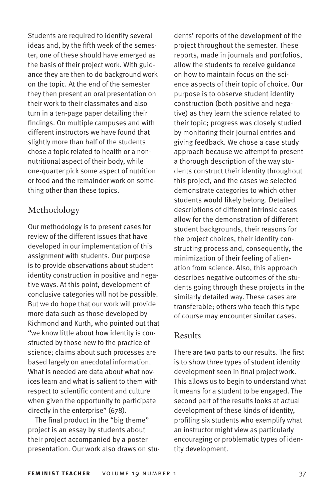Students are required to identify several ideas and, by the fifth week of the semester, one of these should have emerged as the basis of their project work. With guidance they are then to do background work on the topic. At the end of the semester they then present an oral presentation on their work to their classmates and also turn in a ten-page paper detailing their findings. On multiple campuses and with different instructors we have found that slightly more than half of the students chose a topic related to health or a nonnutritional aspect of their body, while one-quarter pick some aspect of nutrition or food and the remainder work on something other than these topics.

## Methodology

Our methodology is to present cases for review of the different issues that have developed in our implementation of this assignment with students. Our purpose is to provide observations about student identity construction in positive and negative ways. At this point, development of conclusive categories will not be possible. But we do hope that our work will provide more data such as those developed by Richmond and Kurth, who pointed out that "we know little about how identity is constructed by those new to the practice of science; claims about such processes are based largely on anecdotal information. What is needed are data about what novices learn and what is salient to them with respect to scientific content and culture when given the opportunity to participate directly in the enterprise" (678).

The final product in the "big theme" project is an essay by students about their project accompanied by a poster presentation. Our work also draws on students' reports of the development of the project throughout the semester. These reports, made in journals and portfolios, allow the students to receive guidance on how to maintain focus on the science aspects of their topic of choice. Our purpose is to observe student identity construction (both positive and negative) as they learn the science related to their topic; progress was closely studied by monitoring their journal entries and giving feedback. We chose a case study approach because we attempt to present a thorough description of the way students construct their identity throughout this project, and the cases we selected demonstrate categories to which other students would likely belong. Detailed descriptions of different intrinsic cases allow for the demonstration of different student backgrounds, their reasons for the project choices, their identity constructing process and, consequently, the minimization of their feeling of alienation from science. Also, this approach describes negative outcomes of the students going through these projects in the similarly detailed way. These cases are transferable; others who teach this type of course may encounter similar cases.

#### Results

There are two parts to our results. The first is to show three types of student identity development seen in final project work. This allows us to begin to understand what it means for a student to be engaged. The second part of the results looks at actual development of these kinds of identity, profiling six students who exemplify what an instructor might view as particularly encouraging or problematic types of identity development.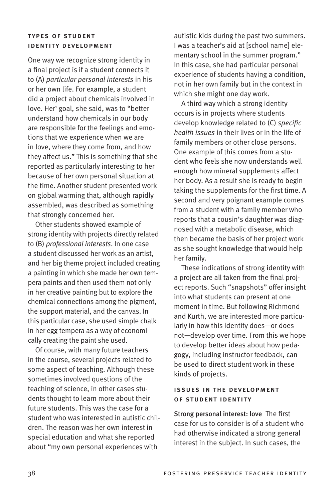#### types of student identity development

One way we recognize strong identity in a final project is if a student connects it to (A) *particular personal interests* in his or her own life. For example, a student did a project about chemicals involved in love. Her<sup>1</sup> goal, she said, was to "better understand how chemicals in our body are responsible for the feelings and emotions that we experience when we are in love, where they come from, and how they affect us." This is something that she reported as particularly interesting to her because of her own personal situation at the time. Another student presented work on global warming that, although rapidly assembled, was described as something that strongly concerned her.

Other students showed example of strong identity with projects directly related to (B) *professional interests*. In one case a student discussed her work as an artist, and her big theme project included creating a painting in which she made her own tempera paints and then used them not only in her creative painting but to explore the chemical connections among the pigment, the support material, and the canvas. In this particular case, she used simple chalk in her egg tempera as a way of economically creating the paint she used.

Of course, with many future teachers in the course, several projects related to some aspect of teaching. Although these sometimes involved questions of the teaching of science, in other cases students thought to learn more about their future students. This was the case for a student who was interested in autistic children. The reason was her own interest in special education and what she reported about "my own personal experiences with

autistic kids during the past two summers. I was a teacher's aid at [school name] elementary school in the summer program." In this case, she had particular personal experience of students having a condition, not in her own family but in the context in which she might one day work.

A third way which a strong identity occurs is in projects where students develop knowledge related to (C) *specific health issues* in their lives or in the life of family members or other close persons. One example of this comes from a student who feels she now understands well enough how mineral supplements affect her body. As a result she is ready to begin taking the supplements for the first time. A second and very poignant example comes from a student with a family member who reports that a cousin's daughter was diagnosed with a metabolic disease, which then became the basis of her project work as she sought knowledge that would help her family.

These indications of strong identity with a project are all taken from the final project reports. Such "snapshots" offer insight into what students can present at one moment in time. But following Richmond and Kurth, we are interested more particularly in how this identity does—or does not—develop over time. From this we hope to develop better ideas about how pedagogy, including instructor feedback, can be used to direct student work in these kinds of projects.

#### issues in the development of student identity

Strong personal interest: love The first case for us to consider is of a student who had otherwise indicated a strong general interest in the subject. In such cases, the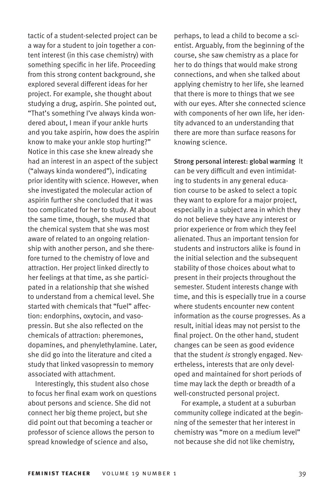tactic of a student-selected project can be a way for a student to join together a content interest (in this case chemistry) with something specific in her life. Proceeding from this strong content background, she explored several different ideas for her project. For example, she thought about studying a drug, aspirin. She pointed out, "That's something I've always kinda wondered about, I mean if your ankle hurts and you take aspirin, how does the aspirin know to make your ankle stop hurting?" Notice in this case she knew already she had an interest in an aspect of the subject ("always kinda wondered"), indicating prior identity with science. However, when she investigated the molecular action of aspirin further she concluded that it was too complicated for her to study. At about the same time, though, she mused that the chemical system that she was most aware of related to an ongoing relationship with another person, and she therefore turned to the chemistry of love and attraction. Her project linked directly to her feelings at that time, as she participated in a relationship that she wished to understand from a chemical level. She started with chemicals that "fuel" affection: endorphins, oxytocin, and vasopressin. But she also reflected on the chemicals of attraction: pheremones, dopamines, and phenylethylamine. Later, she did go into the literature and cited a study that linked vasopressin to memory associated with attachment.

Interestingly, this student also chose to focus her final exam work on questions about persons and science. She did not connect her big theme project, but she did point out that becoming a teacher or professor of science allows the person to spread knowledge of science and also,

perhaps, to lead a child to become a scientist. Arguably, from the beginning of the course, she saw chemistry as a place for her to do things that would make strong connections, and when she talked about applying chemistry to her life, she learned that there is more to things that we see with our eyes. After she connected science with components of her own life, her identity advanced to an understanding that there are more than surface reasons for knowing science.

Strong personal interest: global warming It can be very difficult and even intimidating to students in any general education course to be asked to select a topic they want to explore for a major project, especially in a subject area in which they do not believe they have any interest or prior experience or from which they feel alienated. Thus an important tension for students and instructors alike is found in the initial selection and the subsequent stability of those choices about what to present in their projects throughout the semester. Student interests change with time, and this is especially true in a course where students encounter new content information as the course progresses. As a result, initial ideas may not persist to the final project. On the other hand, student changes can be seen as good evidence that the student *is* strongly engaged. Nevertheless, interests that are only developed and maintained for short periods of time may lack the depth or breadth of a well-constructed personal project.

For example, a student at a suburban community college indicated at the beginning of the semester that her interest in chemistry was "more on a medium level" not because she did not like chemistry,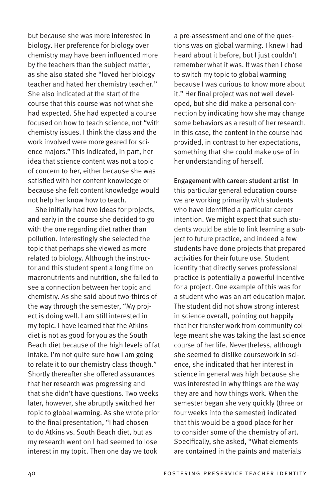but because she was more interested in biology. Her preference for biology over chemistry may have been influenced more by the teachers than the subject matter, as she also stated she "loved her biology teacher and hated her chemistry teacher." She also indicated at the start of the course that this course was not what she had expected. She had expected a course focused on how to teach science, not "with chemistry issues. I think the class and the work involved were more geared for science majors." This indicated, in part, her idea that science content was not a topic of concern to her, either because she was satisfied with her content knowledge or because she felt content knowledge would not help her know how to teach.

She initially had two ideas for projects, and early in the course she decided to go with the one regarding diet rather than pollution. Interestingly she selected the topic that perhaps she viewed as more related to biology. Although the instructor and this student spent a long time on macronutrients and nutrition, she failed to see a connection between her topic and chemistry. As she said about two-thirds of the way through the semester, "My project is doing well. I am still interested in my topic. I have learned that the Atkins diet is not as good for you as the South Beach diet because of the high levels of fat intake. I'm not quite sure how I am going to relate it to our chemistry class though." Shortly thereafter she offered assurances that her research was progressing and that she didn't have questions. Two weeks later, however, she abruptly switched her topic to global warming. As she wrote prior to the final presentation, "I had chosen to do Atkins vs. South Beach diet, but as my research went on I had seemed to lose interest in my topic. Then one day we took

a pre-assessment and one of the questions was on global warming. I knew I had heard about it before, but I just couldn't remember what it was. It was then I chose to switch my topic to global warming because I was curious to know more about it." Her final project was not well developed, but she did make a personal connection by indicating how she may change some behaviors as a result of her research. In this case, the content in the course had provided, in contrast to her expectations, something that she could make use of in her understanding of herself.

Engagement with career: student artist In this particular general education course we are working primarily with students who have identified a particular career intention. We might expect that such students would be able to link learning a subject to future practice, and indeed a few students have done projects that prepared activities for their future use. Student identity that directly serves professional practice is potentially a powerful incentive for a project. One example of this was for a student who was an art education major. The student did not show strong interest in science overall, pointing out happily that her transfer work from community college meant she was taking the last science course of her life. Nevertheless, although she seemed to dislike coursework in science, she indicated that her interest in science in general was high because she was interested in why things are the way they are and how things work. When the semester began she very quickly (three or four weeks into the semester) indicated that this would be a good place for her to consider some of the chemistry of art. Specifically, she asked, "What elements are contained in the paints and materials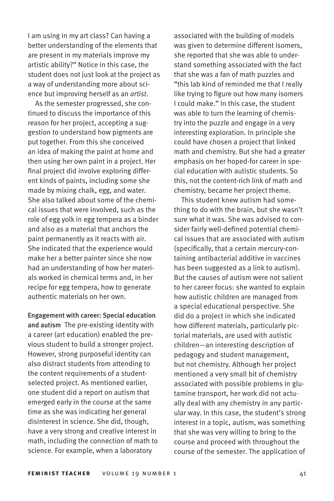I am using in my art class? Can having a better understanding of the elements that are present in my materials improve my artistic ability?" Notice in this case, the student does not just look at the project as a way of understanding more about science but improving herself as an *artist*.

As the semester progressed, she continued to discuss the importance of this reason for her project, accepting a suggestion to understand how pigments are put together. From this she conceived an idea of making the paint at home and then using her own paint in a project. Her final project did involve exploring different kinds of paints, including some she made by mixing chalk, egg, and water. She also talked about some of the chemical issues that were involved, such as the role of egg yolk in egg tempera as a binder and also as a material that anchors the paint permanently as it reacts with air. She indicated that the experience would make her a better painter since she now had an understanding of how her materials worked in chemical terms and, in her recipe for egg tempera, how to generate authentic materials on her own.

Engagement with career: Special education and autism The pre-existing identity with a career (art education) enabled the previous student to build a stronger project. However, strong purposeful identity can also distract students from attending to the content requirements of a studentselected project. As mentioned earlier, one student did a report on autism that emerged early in the course at the same time as she was indicating her general disinterest in science. She did, though, have a very strong and creative interest in math, including the connection of math to science. For example, when a laboratory

associated with the building of models was given to determine different isomers, she reported that she was able to understand something associated with the fact that she was a fan of math puzzles and "this lab kind of reminded me that I really like trying to figure out how many isomers I could make." In this case, the student was able to turn the learning of chemistry into the puzzle and engage in a very interesting exploration. In principle she could have chosen a project that linked math and chemistry. But she had a greater emphasis on her hoped-for career in special education with autistic students. So this, not the content-rich link of math and chemistry, became her project theme.

This student knew autism had something to do with the brain, but she wasn't sure what it was. She was advised to consider fairly well-defined potential chemical issues that are associated with autism (specifically, that a certain mercury-containing antibacterial additive in vaccines has been suggested as a link to autism). But the causes of autism were not salient to her career focus: she wanted to explain how autistic children are managed from a special educational perspective. She did do a project in which she indicated how different materials, particularly pictorial materials, are used with autistic children—an interesting description of pedagogy and student management, but not chemistry. Although her project mentioned a very small bit of chemistry associated with possible problems in glutamine transport, her work did not actually deal with any chemistry in any particular way. In this case, the student's strong interest in a topic, autism, was something that she was very willing to bring to the course and proceed with throughout the course of the semester. The application of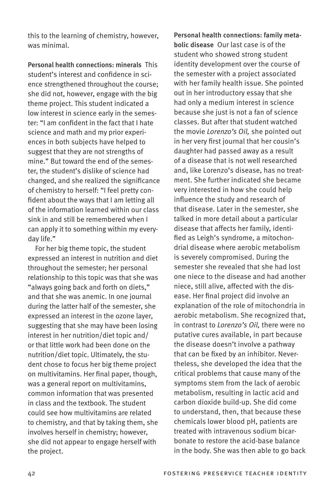this to the learning of chemistry, however, was minimal.

Personal health connections: minerals This student's interest and confidence in science strengthened throughout the course; she did not, however, engage with the big theme project. This student indicated a low interest in science early in the semester: "I am confident in the fact that I hate science and math and my prior experiences in both subjects have helped to suggest that they are not strengths of mine." But toward the end of the semester, the student's dislike of science had changed, and she realized the significance of chemistry to herself: "I feel pretty confident about the ways that I am letting all of the information learned within our class sink in and still be remembered when I can apply it to something within my everyday life."

For her big theme topic, the student expressed an interest in nutrition and diet throughout the semester; her personal relationship to this topic was that she was "always going back and forth on diets," and that she was anemic. In one journal during the latter half of the semester, she expressed an interest in the ozone layer, suggesting that she may have been losing interest in her nutrition/diet topic and/ or that little work had been done on the nutrition/diet topic. Ultimately, the student chose to focus her big theme project on multivitamins. Her final paper, though, was a general report on multivitamins, common information that was presented in class and the textbook. The student could see how multivitamins are related to chemistry, and that by taking them, she involves herself in chemistry; however, she did not appear to engage herself with the project.

Personal health connections: family metabolic disease Our last case is of the student who showed strong student identity development over the course of the semester with a project associated with her family health issue. She pointed out in her introductory essay that she had only a medium interest in science because she just is not a fan of science classes. But after that student watched the movie *Lorenzo's Oil,* she pointed out in her very first journal that her cousin's daughter had passed away as a result of a disease that is not well researched and, like Lorenzo's disease, has no treatment. She further indicated she became very interested in how she could help influence the study and research of that disease. Later in the semester, she talked in more detail about a particular disease that affects her family, identified as Leigh's syndrome, a mitochondrial disease where aerobic metabolism is severely compromised. During the semester she revealed that she had lost one niece to the disease and had another niece, still alive, affected with the disease. Her final project did involve an explanation of the role of mitochondria in aerobic metabolism. She recognized that, in contrast to *Lorenzo's Oil,* there were no putative cures available, in part because the disease doesn't involve a pathway that can be fixed by an inhibitor. Nevertheless, she developed the idea that the critical problems that cause many of the symptoms stem from the lack of aerobic metabolism, resulting in lactic acid and carbon dioxide build-up. She did come to understand, then, that because these chemicals lower blood pH, patients are treated with intravenous sodium bicarbonate to restore the acid-base balance in the body. She was then able to go back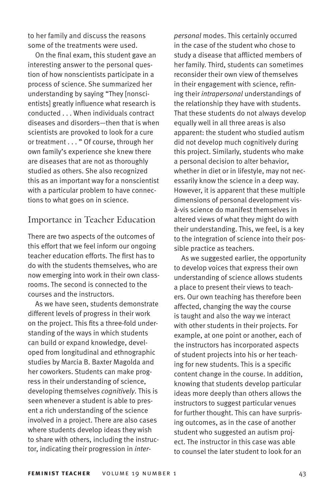to her family and discuss the reasons some of the treatments were used.

On the final exam, this student gave an interesting answer to the personal question of how nonscientists participate in a process of science. She summarized her understanding by saying "They [nonscientists] greatly influence what research is conducted . . . When individuals contract diseases and disorders—then that is when scientists are provoked to look for a cure or treatment . . . " Of course, through her own family's experience she knew there are diseases that are not as thoroughly studied as others. She also recognized this as an important way for a nonscientist with a particular problem to have connections to what goes on in science.

### Importance in Teacher Education

There are two aspects of the outcomes of this effort that we feel inform our ongoing teacher education efforts. The first has to do with the students themselves, who are now emerging into work in their own classrooms. The second is connected to the courses and the instructors.

As we have seen, students demonstrate different levels of progress in their work on the project. This fits a three-fold understanding of the ways in which students can build or expand knowledge, developed from longitudinal and ethnographic studies by Marcia B. Baxter Magolda and her coworkers. Students can make progress in their understanding of science, developing themselves *cognitively*. This is seen whenever a student is able to present a rich understanding of the science involved in a project. There are also cases where students develop ideas they wish to share with others, including the instructor, indicating their progression in *inter-* *personal* modes. This certainly occurred in the case of the student who chose to study a disease that afflicted members of her family. Third, students can sometimes reconsider their own view of themselves in their engagement with science, refining their *intrapersonal* understandings of the relationship they have with students. That these students do not always develop equally well in all three areas is also apparent: the student who studied autism did not develop much cognitively during this project. Similarly, students who make a personal decision to alter behavior, whether in diet or in lifestyle, may not necessarily know the science in a deep way. However, it is apparent that these multiple dimensions of personal development visà-vis science do manifest themselves in altered views of what they might do with their understanding. This, we feel, is a key to the integration of science into their possible practice as teachers.

As we suggested earlier, the opportunity to develop voices that express their own understanding of science allows students a place to present their views to teachers. Our own teaching has therefore been affected, changing the way the course is taught and also the way we interact with other students in their projects. For example, at one point or another, each of the instructors has incorporated aspects of student projects into his or her teaching for new students. This is a specific content change in the course. In addition, knowing that students develop particular ideas more deeply than others allows the instructors to suggest particular venues for further thought. This can have surprising outcomes, as in the case of another student who suggested an autism project. The instructor in this case was able to counsel the later student to look for an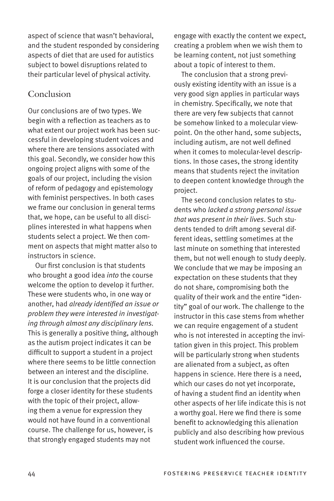aspect of science that wasn't behavioral, and the student responded by considering aspects of diet that are used for autistics subject to bowel disruptions related to their particular level of physical activity.

## Conclusion

Our conclusions are of two types. We begin with a reflection as teachers as to what extent our project work has been successful in developing student voices and where there are tensions associated with this goal. Secondly, we consider how this ongoing project aligns with some of the goals of our project, including the vision of reform of pedagogy and epistemology with feminist perspectives. In both cases we frame our conclusion in general terms that, we hope, can be useful to all disciplines interested in what happens when students select a project. We then comment on aspects that might matter also to instructors in science.

Our first conclusion is that students who brought a good idea *into* the course welcome the option to develop it further. These were students who, in one way or another, had *already identified an issue or problem they were interested in investigating through almost any disciplinary lens.* This is generally a positive thing, although as the autism project indicates it can be difficult to support a student in a project where there seems to be little connection between an interest and the discipline. It is our conclusion that the projects did forge a closer identity for these students with the topic of their project, allowing them a venue for expression they would not have found in a conventional course. The challenge for us, however, is that strongly engaged students may not

engage with exactly the content we expect, creating a problem when we wish them to be learning content, not just something about a topic of interest to them.

The conclusion that a strong previously existing identity with an issue is a very good sign applies in particular ways in chemistry. Specifically, we note that there are very few subjects that cannot be somehow linked to a molecular viewpoint. On the other hand, some subjects, including autism, are not well defined when it comes to molecular-level descriptions. In those cases, the strong identity means that students reject the invitation to deepen content knowledge through the project.

The second conclusion relates to students who *lacked a strong personal issue that was present in their lives*. Such students tended to drift among several different ideas, settling sometimes at the last minute on something that interested them, but not well enough to study deeply. We conclude that we may be imposing an expectation on these students that they do not share, compromising both the quality of their work and the entire "identity" goal of our work. The challenge to the instructor in this case stems from whether we can require engagement of a student who is not interested in accepting the invitation given in this project. This problem will be particularly strong when students are alienated from a subject, as often happens in science. Here there is a need, which our cases do not yet incorporate, of having a student find an identity when other aspects of her life indicate this is not a worthy goal. Here we find there is some benefit to acknowledging this alienation publicly and also describing how previous student work influenced the course.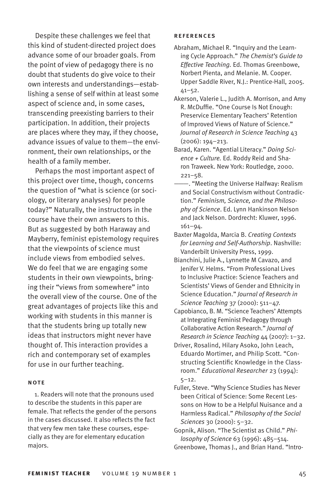Despite these challenges we feel that this kind of student-directed project does advance some of our broader goals. From the point of view of pedagogy there is no doubt that students do give voice to their own interests and understandings—establishing a sense of self within at least some aspect of science and, in some cases, transcending preexisting barriers to their participation. In addition, their projects are places where they may, if they choose, advance issues of value to them—the environment, their own relationships, or the health of a family member.

Perhaps the most important aspect of this project over time, though, concerns the question of "what is science (or sociology, or literary analyses) for people today?" Naturally, the instructors in the course have their own answers to this. But as suggested by both Haraway and Mayberry, feminist epistemology requires that the viewpoints of science must include views from embodied selves. We do feel that we are engaging some students in their own viewpoints, bringing their "views from somewhere" into the overall view of the course. One of the great advantages of projects like this and working with students in this manner is that the students bring up totally new ideas that instructors might never have thought of. This interaction provides a rich and contemporary set of examples for use in our further teaching.

#### **NOTE**

1. Readers will note that the pronouns used to describe the students in this paper are female. That reflects the gender of the persons in the cases discussed. It also reflects the fact that very few men take these courses, especially as they are for elementary education majors.

#### references

- Abraham, Michael R. "Inquiry and the Learning Cycle Approach." *The Chemist's Guide to Effective Teaching.* Ed. Thomas Greenbowe, Norbert Pienta, and Melanie. M. Cooper. Upper Saddle River, N.J.: Prentice-Hall, 2005.  $41 - 52.$
- Akerson, Valerie L., Judith A. Morrison, and Amy R. McDuffie. "One Course Is Not Enough: Preservice Elementary Teachers' Retention of Improved Views of Nature of Science." *Journal of Research in Science Teaching* 43 (2006): 194–213.
- Barad, Karen. "Agential Literacy." *Doing Science + Culture.* Ed. Roddy Reid and Sharon Traweek. New York: Routledge, 2000. 221–58.
- ———. "Meeting the Universe Halfway: Realism and Social Constructivism without Contradiction." *Feminism, Science, and the Philosophy of Science*. Ed. Lynn Hankinson Nelson and Jack Nelson. Dordrecht: Kluwer, 1996. 161–94.
- Baxter Magolda, Marcia B. *Creating Contexts for Learning and Self-Authorship*. Nashville: Vanderbilt University Press, 1999.
- Bianchini, Julie A., Lynnette M Cavazo, and Jenifer V. Helms. "From Professional Lives to Inclusive Practice: Science Teachers and Scientists' Views of Gender and Ethnicity in Science Education." *Journal of Research in Science Teaching* 37 (2000): 511–47.
- Capobianco, B. M. "Science Teachers' Attempts at Integrating Feminist Pedagogy through Collaborative Action Research." *Journal of Research in Science Teaching* 44 (2007): 1–32.
- Driver, Rosalind, Hilary Asoko, John Leach, Eduardo Mortimer, and Philip Scott. "Constructing Scientific Knowledge in the Classroom." *Educational Researcher* 23 (1994): 5–12.
- Fuller, Steve. "Why Science Studies has Never been Critical of Science: Some Recent Lessons on How to be a Helpful Nuisance and a Harmless Radical." *Philosophy of the Social Sciences* 30 (2000): 5–32.
- Gopnik, Alison. "The Scientist as Child." *Philosophy of Science* 63 (1996): 485–514. Greenbowe, Thomas J., and Brian Hand. "Intro-